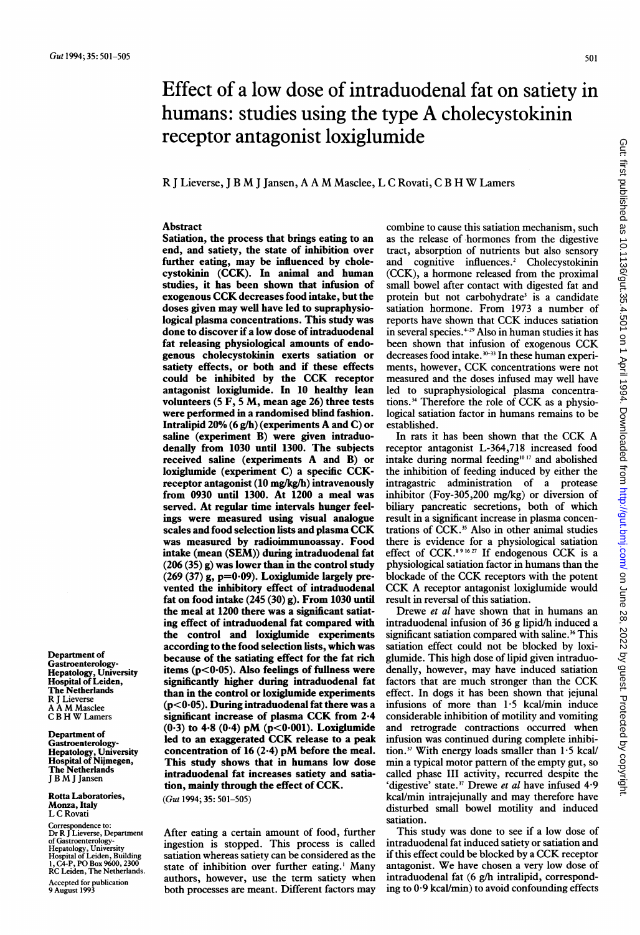# Effect of a low dose of intraduodenal fat on satiety in humans: studies using the type A cholecystokinin receptor antagonist loxiglumide

R <sup>J</sup> Lieverse, <sup>J</sup> <sup>B</sup> M <sup>J</sup> Jansen, <sup>A</sup> <sup>A</sup> M Masclee, <sup>L</sup> <sup>C</sup> Rovati, <sup>C</sup> <sup>B</sup> H W Lamers

#### Abstract

Satiation, the process that brings eating to an end, and satiety, the state of inhibition over further eating, may be influenced by cholecystokinin (CCK). In animal and human studies, it has been shown that infusion of exogenous CCK decreases food intake, but the doses given may well have led to supraphysiological plasma concentrations. This study was done to discover if a low dose of intraduodenal fat releasing physiological amounts of endogenous cholecystokinin exerts satiation or satiety effects, or both and if these effects could be inhibited by the CCK receptor antagonist loxiglumide. In 10 healthy lean volunteers (5 F, <sup>5</sup> M, mean age 26) three tests were performed in a randomised blind fashion. Intralipid 20% (6 g/h) (experiments A and C) or saline (experiment B) were given intraduodenaily from 1030 until 1300. The subjects received saline (experiments A and B) or loxiglumide (experiment C) a specific CCKreceptor antagonist (10 mg/kg/h) intravenously from 0930 until 1300. At 1200 a meal was served. At regular time intervals hunger feelings were measured using visual analogue scales and food selection lists and plasma CCK was measured by radioimmunoassay. Food intake (mean (SEM)) during intraduodenal fat  $(206 (35) g)$  was lower than in the control study  $(269 (37)$  g, p=0.09). Loxiglumide largely prevented the inhibitory effect of intraduodenal fat on food intake (245 (30) g). From 1030 until the meal at 1200 there was a significant satiating effect of intraduodenal fat compared with the control and loxiglumide experiments according to the food selection lists, which was because of the satiating effect for the fat rich items ( $p$ <0.05). Also feelings of fullness were significantly higher during intraduodenal fat than in the control or loxiglumide experiments  $(p<0.05)$ . During intraduodenal fat there was a significant increase of plasma CCK from 2-4  $(0.3)$  to 4.8  $(0.4)$  pM  $(p<0.001)$ . Loxiglumide led to an exaggerated CCK release to <sup>a</sup> peak concentration of 16  $(2.4)$  pM before the meal. This study shows that in humans low dose intraduodenal fat increases satiety and satiation, mainly through the effect of CCK.

(Gut 1994; 35: 501-505)

After eating a certain amount of food, further ingestion is stopped. This process is called satiation whereas satiety can be considered as the state of inhibition over further eating.' Many authors, however, use the term satiety when both processes are meant. Different factors may

combine to cause this satiation mechanism, such as the release of hormones from the digestive tract, absorption of nutrients but also sensory and cognitive influences.<sup>2</sup> Cholecystokinin (CCK), a hormone released from the proximal small bowel after contact with digested fat and protein but not carbohydrate<sup>3</sup> is a candidate satiation hormone. From 1973 <sup>a</sup> number of reports have shown that CCK induces satiation in several species. $+29$  Also in human studies it has been shown that infusion of exogenous CCK decreases food intake.<sup>30-33</sup> In these human experiments, however, CCK concentrations were not measured and the doses infused may well have led to supraphysiological plasma concentrations.34 Therefore the role of CCK as <sup>a</sup> physiological satiation factor in humans remains to be established.

In rats it has been shown that the CCK A receptor antagonist L-364,718 increased food intake during normal feeding<sup>1017</sup> and abolished the inhibition of feeding induced by either the intragastric administration of a protease inhibitor (Foy-305,200 mg/kg) or diversion of biliary pancreatic secretions, both of which result in a significant increase in plasma concentrations of CCK.<sup>35</sup> Also in other animal studies there is evidence for a physiological satiation effect of CCK.591627 If endogenous CCK is <sup>a</sup> physiological satiation factor in humans than the blockade of the CCK receptors with the potent CCK A receptor antagonist loxiglumide would result in reversal of this satiation.

Drewe et al have shown that in humans an intraduodenal infusion of 36 g lipid/h induced a significant satiation compared with saline.<sup>36</sup> This satiation effect could not be blocked by loxiglumide. This high dose of lipid given intraduodenally, however, may have induced satiation factors that are much stronger than the CCK effect. In dogs it has been shown that jejunal infusions of more than 1-5 kcal/min induce considerable inhibition of motility and vomiting and retrograde contractions occurred when infusion was continued during complete inhibition.<sup>37</sup> With energy loads smaller than  $1.5$  kcal/ min a typical motor pattern of the empty gut, so called phase III activity, recurred despite the 'digestive' state.<sup>37</sup> Drewe et al have infused 4.9 kcal/min intrajejunally and may therefore have disturbed small bowel motility and induced satiation.

This study was done to see if a low dose of intraduodenal fat induced satiety or satiation and if this effect could be blocked by <sup>a</sup> CCK receptor antagonist. We have chosen <sup>a</sup> very low dose of intraduodenal fat (6 g/h intralipid, corresponding to 0-9 kcal/min) to avoid confounding effects

Department of Gastroenterology-Hepatology, University Hospital of Leiden, The Netherlands R <sup>J</sup> Lieverse A A M Masclee <sup>C</sup> <sup>B</sup> H W Lamers

Department of<br>Gastroenterology-Gastroenterology-Hepatology, University Hospital of Nijmegen, The Netherlands <sup>J</sup> <sup>B</sup> M <sup>J</sup> Jansen

Rotta Laboratories, Monza, Italy L C Rovati

Correspondence to: Dr R <sup>J</sup> Lieverse, Department of Gastroenterology-Hepatology, University Hospital of Leiden, Building 1, C4-P, PO Box 9600, 2300 RC Leiden, The Netherlands. Accepted for publication 9 August 1993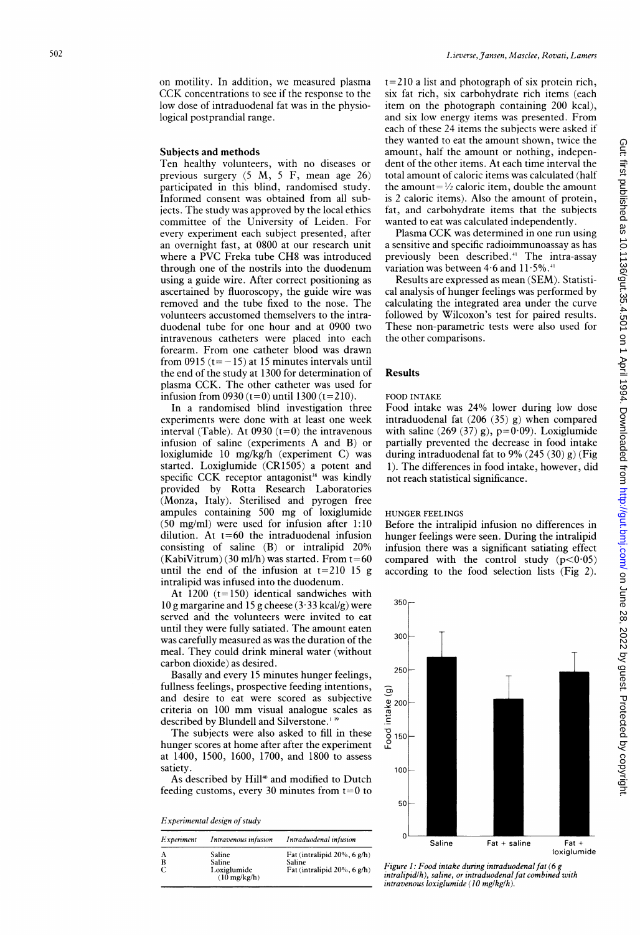#### Subjects and methods

Ten healthy volunteers, with no diseases or previous surgery (5 M, <sup>5</sup> F, mean age 26) participated in this blind, randomised study. Informed consent was obtained from all subjects. The study was approved by the local ethics committee of the University of Leiden. For every experiment each subject presented, after an overnight fast, at 0800 at our research unit where <sup>a</sup> PVC Freka tube CH8 was introduced through one of the nostrils into the duodenum using a guide wire. After correct positioning as ascertained by fluoroscopy, the guide wire was removed and the tube fixed to the nose. The volunteers accustomed themselvers to the intraduodenal tube for one hour and at 0900 two intravenous catheters were placed into each forearm. From one catheter blood was drawn from 0915  $(t=-15)$  at 15 minutes intervals until the end of the study at 1300 for determination of plasma CCK. The other catheter was used for infusion from  $0930(t=0)$  until 1300 (t=210).

In a randomised blind investigation three experiments were done with at least one week interval (Table). At  $0930$  (t=0) the intravenous infusion of saline (experiments A and B) or loxiglumide 10 mg/kg/h (experiment C) was started. Loxiglumide (CR1505) a potent and specific CCK receptor antagonist<sup>38</sup> was kindly provided by Rotta Research Laboratories (Monza, Italy). Sterilised and pyrogen free ampules containing 500 mg of loxiglumide (50 mg/ml) were used for infusion after 1:10 dilution. At  $t=60$  the intraduodenal infusion consisting of saline (B) or intralipid 20%  $(KabiVitrum)$  (30 ml/h) was started. From  $t=60$ until the end of the infusion at t=210 15 g intralipid was infused into the duodenum.

At  $1200$   $(t=150)$  identical sandwiches with lO g margarine and 15 g cheese (3 33 kcal/g) were served and the volunteers were invited to eat until they were fully satiated. The amount eaten was carefully measured as was the duration of the meal. They could drink mineral water (without carbon dioxide) as desired.

Basally and every 15 minutes hunger feelings, fullness feelings, prospective feeding intentions, and desire to eat were scored as subjective criteria on <sup>100</sup> mm visual analogue scales as described by Blundell and Silverstone. 3

The subjects were also asked to fill in these hunger scores at home after after the experiment at 1400, 1500, 1600, 1700, and 1800 to assess satiety.

As described by Hill<sup>40</sup> and modified to Dutch feeding customs, every 30 minutes from  $t=0$  to

Experimental design of study

| <i>Experiment</i> | Intravenous infusion                                      | Intraduodenal infusion                                                       |
|-------------------|-----------------------------------------------------------|------------------------------------------------------------------------------|
| А<br>B            | Saline<br>Saline<br>Loxiglumide<br>$(10 \text{ mg/kg/h})$ | Fat (intralipid $20\%$ , 6 g/h)<br>Saline<br>Fat (intralipid $20\%$ , 6 g/h) |

<sup>t</sup> =210 a list and photograph of six protein rich, six fat rich, six carbohydrate rich items (each item on the photograph containing 200 kcal), and six low energy items was presented. From each of these 24 items the subjects were asked if they wanted to eat the amount shown, twice the amount, half the amount or nothing, independent of the other items. At each time interval the total amount of caloric items was calculated (half the amount= $\frac{1}{2}$  caloric item, double the amount is 2 caloric items). Also the amount of protein, fat, and carbohydrate items that the subjects wanted to eat was calculated independently.

Plasma CCK was determined in one run using a sensitive and specific radioimmunoassay as has previously been described.4' The intra-assay variation was between  $4.6$  and  $11.5\%$ .<sup>11</sup>

Results are expressed as mean (SEM). Statistical analysis of hunger feelings was performed by calculating the integrated area under the curve followed by Wilcoxon's test for paired results. These non-parametric tests were also used for the other comparisons.

#### Results

#### FOOD INTAKE

Food intake was 24% lower during low dose intraduodenal fat (206 (35) g) when compared with saline  $(269 (37) g)$ , p=0.09). Loxiglumide partially prevented the decrease in food intake during intraduodenal fat to 9% (245 (30) g) (Fig 1). The differences in food intake, however, did not reach statistical significance.

## HUNGER FEELINGS

Before the intralipid infusion no differences in hunger feelings were seen. During the intralipid infusion there was a significant satiating effect compared with the control study  $(p<0.05)$ according to the food selection lists (Fig 2).



Gut: first published as 10.1136/gut.35.4.501 on 1 4 April 1994. Downloaded from http://gut.bmj.com/ on June 28, 2022 by guest. Protected by right on June 28, 2022 by guest. Protected by copyright. <http://gut.bmj.com/> Gut: first published as 10.1136/gut.35.4.501 on 1 April 1994. Downloaded from

Figure 1: Food intake during intraduodenalfat (6 g intralipid/h), saline, or intraduodenal fat combined with  $intravenous *loxiglumide* (10 mg/kg/h).$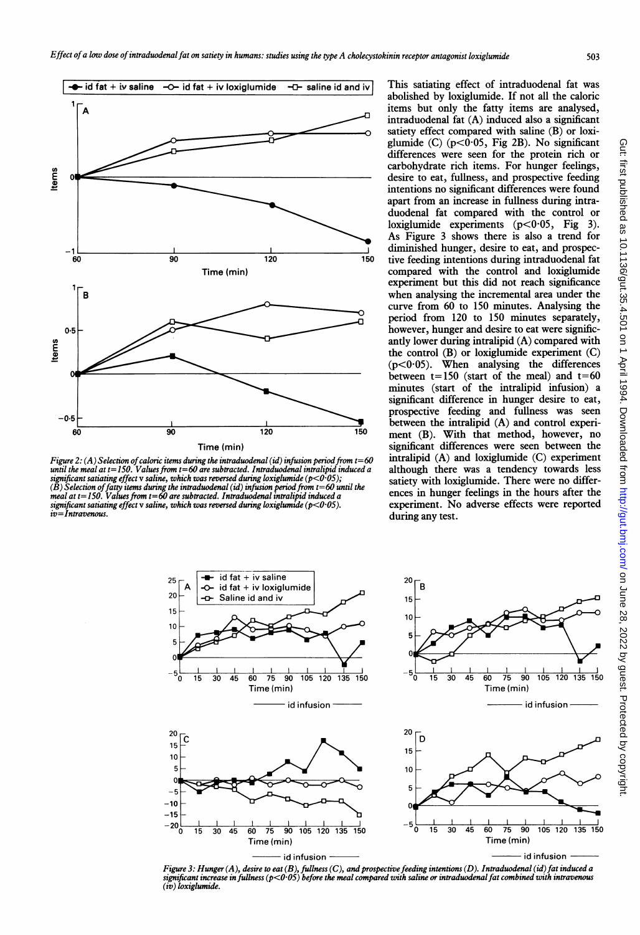

Figure 2: (A) Selection of caloric items during the intraduodenal (id) infusion period from  $t=60$ until the meal at t= 150. Values from t=60 are subtracted. Intraduodenal intralipid induced a significant satiating effect  $v$  saline, which was reversed during loxiglumide ( $p<$ 0·05);  $(\tilde{B})$  Selection of fatty items during the intraduodenal (id) infusion period from t=60 until the meal at  $t = 150$ . Values from  $t = 60$  are subtracted. Intraduodenal intralipid induced a significant satiating effect v saline, which was reversed during loxiglumide ( $p$ <0.05).  $iv=Intravenous$ .

 $-20\frac{1}{\Omega}$ 

This satiating effect of intraduodenal fat was abolished by loxiglumide. If not all the caloric items but only the fatty items are analysed, intraduodenal fat (A) induced also a significant satiety effect compared with saline (B) or loxiglumide (C)  $(p<0.05$ , Fig 2B). No significant differences were seen for the protein rich or carbohydrate rich items. For hunger feelings, desire to eat, fullness, and prospective feeding intentions no significant differences were found apart from an increase in fullness during intraduodenal fat compared with the control or loxiglumide experiments  $(p<0.05,$  Fig. As Figure 3 shows there is also a trend for diminished hunger, desire to eat, and prospective feeding intentions during intraduodenal fat compared with the control and loxiglumide experiment but this did not reach significance when analysing the incremental area under the curve from 60 to 150 minutes. Analysing the period from 120 to 150 minutes separately, however, hunger and desire to eat were significantly lower during intralipid (A) compared with the control (B) or loxiglumide experiment (C)  $(p<0.05)$ . When analysing the differences between  $t=150$  (start of the meal) and  $t=60$ minutes (start of the intralipid infusion) a significant difference in hunger desire to eat, prospective feeding and fullness was seen between the intralipid (A) and control experiment (B). With that method, however, no significant differences were seen between the intralipid (A) and loxiglumide (C) experiment although there was a tendency towards less satiety with loxiglumide. There were no differences in hunger feelings in the hours after the experiment. No adverse effects were reported during any test.



0 15 30 45 60 75 90 105 120 135 150 Time (min)

id infusion



Figure 3: Hunger (A), desire to eat (B), fullness (C), and prospective feeding intentions (D). Intraduodenal (id) fat induced a<br>significant increase in fullness (p<0·05) before the meal compared with saline or intraduodena (iv) loxiglumide.

 $^{20}$   $\Box$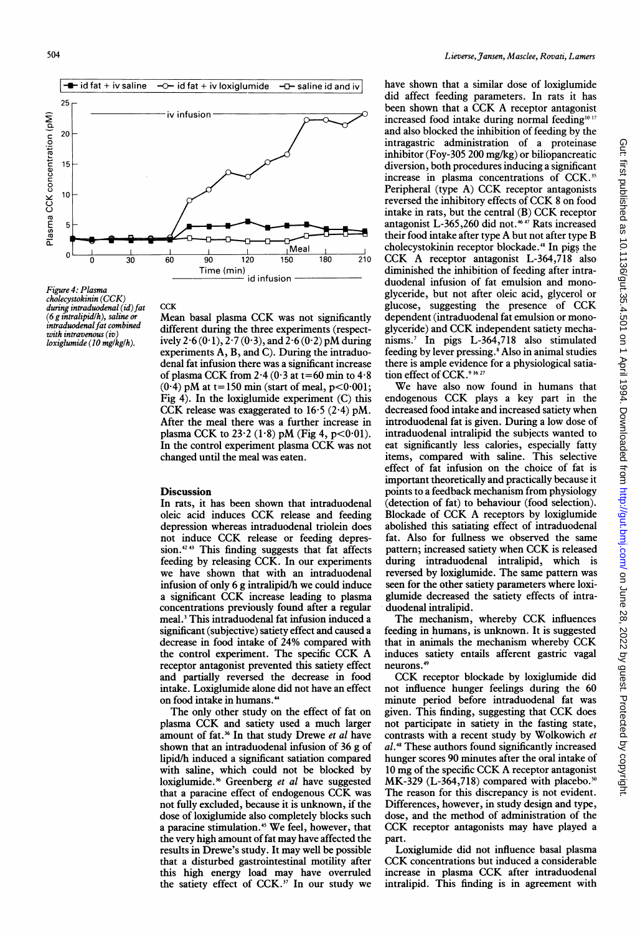

Figure 4: Plasma cholecystokinin (CCK) during intraduodenal (id) fat  $(6 \rho$  intralipid/h), saline or intraduodenal fat combined with intravenous (iv)  $loxiglumide (10 mg/kg/h).$ 

Mean basal plasma CCK was not significantly different during the three experiments (respectively 2.6 (0.1),  $2.7(0.3)$ , and  $2.6(0.2)$  pM during experiments A, B, and C). During the intraduodenal fat infusion there was a significant increase of plasma CCK from  $2.4$  (0.3 at t=60 min to  $4.8$ )  $(0.4)$  pM at t=150 min (start of meal, p<0.001; Fig 4). In the loxiglumide experiment (C) this CCK release was exaggerated to  $16.5$  (2.4) pM. After the meal there was a further increase in plasma CCK to  $23.2 (1.8)$  pM (Fig 4, p<0.01). In the control experiment plasma CCK was not changed until the meal was eaten.

### **Discussion**

**CCK** 

In rats, it has been shown that intraduodenal oleic acid induces CCK release and feeding depression whereas intraduodenal triolein does not induce CCK release or feeding depression.<sup>4243</sup> This finding suggests that fat affects feeding by releasing CCK. In our experiments we have shown that with an intraduodenal infusion of only 6 g intralipid/h we could induce <sup>a</sup> significant CCK increase leading to plasma concentrations previously found after a regular meal.3 This intraduodenal fat infusion induced a significant (subjective) satiety effect and caused a decrease in food intake of 24% compared with the control experiment. The specific CCK A receptor antagonist prevented this satiety effect and partially reversed the decrease in food intake. Loxiglumide alone did not have an effect on food intake in humans."

The only other study on the effect of fat on plasma CCK and satiety used <sup>a</sup> much larger amount of fat.<sup>36</sup> In that study Drewe et al have shown that an intraduodenal infusion of 36 g of lipid/h induced a significant satiation compared with saline, which could not be blocked by loxiglumide.<sup>36</sup> Greenberg et al have suggested that <sup>a</sup> paracine effect of endogenous CCK was not fully excluded, because it is unknown, if the dose of loxiglumide also completely blocks such a paracine stimulation.<sup>45</sup> We feel, however, that the very high amount of fat may have affected the results in Drewe's study. It may well be possible that a disturbed gastrointestinal motility after this high energy load may have overruled the satiety effect of  $CCK$ .<sup>37</sup> In our study we

have shown that a similar dose of loxiglumide did affect feeding parameters. In rats it has been shown that <sup>a</sup> CCK A receptor antagonist increased food intake during normal feeding<sup>10 17</sup> and also blocked the inhibition of feeding by the intragastric administration of a proteinase inhibitor (Foy-305 200 mg/kg) or biliopancreatic diversion, both procedures inducing a significant increase in plasma concentrations of CCK.<sup>35</sup> Peripheral (type A) CCK receptor antagonists reversed the inhibitory effects of CCK <sup>8</sup> on food intake in rats, but the central (B) CCK receptor antagonist L-365,260 did not.<sup>4647</sup> Rats increased their food intake after type A but not after type B cholecystokinin receptor blockade.<sup>48</sup> In pigs the CCK A receptor antagonist L-364,718 also diminished the inhibition of feeding after intraduodenal infusion of fat emulsion and monoglyceride, but not after oleic acid, glycerol or glucose, suggesting the presence of CCK dependent (intraduodenal fat emulsion or monoglyceride) and CCK independent satiety mechanisms.7 In pigs L-364,718 also stimulated feeding by lever pressing.<sup>8</sup> Also in animal studies there is ample evidence for a physiological satiation effect of CCK.<sup>9 16 27</sup>

We have also now found in humans that endogenous CCK plays <sup>a</sup> key part in the decreased food intake and increased satiety when introduodenal fat is given. During a low dose of intraduodenal intralipid the subjects wanted to eat significantly less calories, especially fatty items, compared with saline. This selective effect of fat infusion on the choice of fat is important theoretically and practically because it points to a feedback mechanism from physiology (detection of fat) to behaviour (food selection). Blockade of CCK A receptors by loxiglumide abolished this satiating effect of intraduodenal fat. Also for fullness we observed the same pattern; increased satiety when CCK is released during intraduodenal intralipid, which is reversed by loxiglumide. The same pattern was seen for the other satiety parameters where loxiglumide decreased the satiety effects of intraduodenal intralipid.

The mechanism, whereby CCK influences feeding in humans, is unknown. It is suggested that in animals the mechanism whereby CCK induces satiety entails afferent gastric vagal neurons.49

CCK receptor blockade by loxiglumide did not influence hunger feelings during the 60 minute period before intraduodenal fat was given. This finding, suggesting that CCK does not participate in satiety in the fasting state, contrasts with a recent study by Wolkowich et al.48 These authors found significantly increased hunger scores 90 minutes after the oral intake of <sup>10</sup> mg of the specific CCK A receptor antagonist  $MK-329$  (L-364,718) compared with placebo.<sup>50</sup> The reason for this discrepancy is not evident. Differences, however, in study design and type, dose, and the method of administration of the CCK receptor antagonists may have played <sup>a</sup> part.

Loxiglumide did not influence basal plasma CCK concentrations but induced <sup>a</sup> considerable increase in plasma CCK after intraduodenal intralipid. This finding is in agreement with